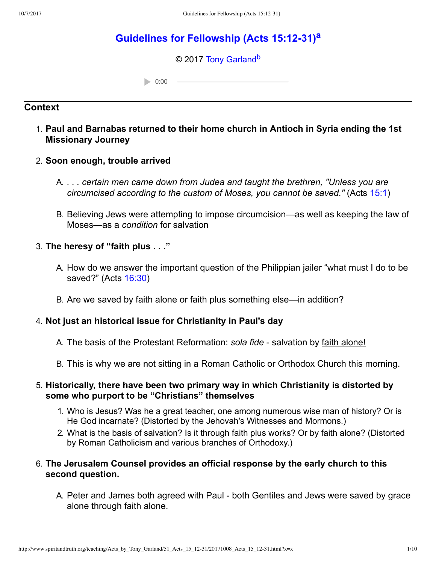# **[Guidelines for Fellowship \(Acts 15:1231\)](http://www.spiritandtruth.org/teaching/Acts_by_Tony_Garland/51_Acts_15_12-31/index.htm)[a](#page-9-0)**

#### <span id="page-0-1"></span><span id="page-0-0"></span>© 2017 [Tony Garland](http://www.spiritandtruth.org/id/tg.htm)<sup>[b](#page-9-1)</sup>

 $0:00$ 

# **Context**

## 1. **Paul and Barnabas returned to their home church in Antioch in Syria ending the 1st Missionary Journey**

#### 2. **Soon enough, trouble arrived**

- A. *. . . certain men came down from Judea and taught the brethren, "Unless you are circumcised according to the custom of Moses, you cannot be saved."* (Acts [15:1](http://www.spiritandtruth.org/bibles/nasb/b44c015.htm#Acts_C15V1))
- B. Believing Jews were attempting to impose circumcision—as well as keeping the law of Moses—as a *condition* for salvation

#### 3. **The heresy of "faith plus . . ."**

- A. How do we answer the important question of the Philippian jailer "what must I do to be saved?" (Acts [16:30](http://www.spiritandtruth.org/bibles/nasb/b44c016.htm#Acts_C16V30))
- B. Are we saved by faith alone or faith plus something else—in addition?

### 4. **Not just an historical issue for Christianity in Paul's day**

- A. The basis of the Protestant Reformation: *sola fide* salvation by faith alone!
- B. This is why we are not sitting in a Roman Catholic or Orthodox Church this morning.

#### 5. **Historically, there have been two primary way in which Christianity is distorted by some who purport to be "Christians" themselves**

- 1. Who is Jesus? Was he a great teacher, one among numerous wise man of history? Or is He God incarnate? (Distorted by the Jehovah's Witnesses and Mormons.)
- 2. What is the basis of salvation? Is it through faith plus works? Or by faith alone? (Distorted by Roman Catholicism and various branches of Orthodoxy.)

### 6. **The Jerusalem Counsel provides an official response by the early church to this second question.**

A. Peter and James both agreed with Paul - both Gentiles and Jews were saved by grace alone through faith alone.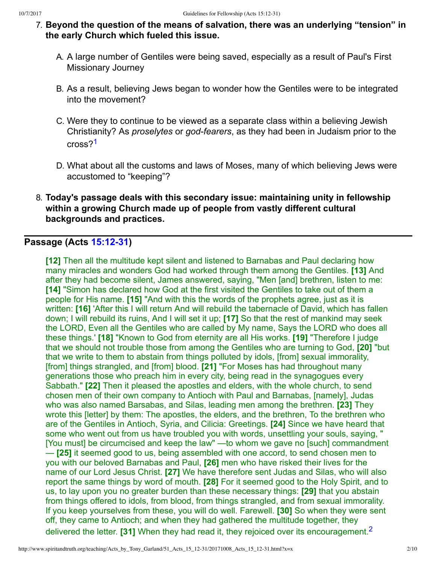- 7. **Beyond the question of the means of salvation, there was an underlying "tension" in the early Church which fueled this issue.**
	- A. A large number of Gentiles were being saved, especially as a result of Paul's First Missionary Journey
	- B. As a result, believing Jews began to wonder how the Gentiles were to be integrated into the movement?
	- C. Were they to continue to be viewed as a separate class within a believing Jewish Christianity? As *proselytes* or *god-fearers*, as they had been in Judaism prior to the cross?<sup>[1](#page-9-2)</sup>
	- D. What about all the customs and laws of Moses, many of which believing Jews were accustomed to "keeping"?
- <span id="page-1-0"></span>8. **Today's passage deals with this secondary issue: maintaining unity in fellowship within a growing Church made up of people from vastly different cultural backgrounds and practices.**

# **Passage (Acts [15:1231\)](http://www.spiritandtruth.org/bibles/nasb/b44c015.htm#Acts_C15V12)**

<span id="page-1-2"></span><span id="page-1-1"></span>**[12]** Then all the multitude kept silent and listened to Barnabas and Paul declaring how many miracles and wonders God had worked through them among the Gentiles. **[13]** And after they had become silent, James answered, saying, "Men [and] brethren, listen to me: **[14]** "Simon has declared how God at the first visited the Gentiles to take out of them a people for His name. **[15]** "And with this the words of the prophets agree, just as it is written: **[16]** 'After this I will return And will rebuild the tabernacle of David, which has fallen down; I will rebuild its ruins, And I will set it up; **[17]** So that the rest of mankind may seek the LORD, Even all the Gentiles who are called by My name, Says the LORD who does all these things.' **[18]** "Known to God from eternity are all His works. **[19]** "Therefore I judge that we should not trouble those from among the Gentiles who are turning to God, **[20]** "but that we write to them to abstain from things polluted by idols, [from] sexual immorality, [from] things strangled, and [from] blood. **[21]** "For Moses has had throughout many generations those who preach him in every city, being read in the synagogues every Sabbath." **[22]** Then it pleased the apostles and elders, with the whole church, to send chosen men of their own company to Antioch with Paul and Barnabas, [namely], Judas who was also named Barsabas, and Silas, leading men among the brethren. **[23]** They wrote this [letter] by them: The apostles, the elders, and the brethren, To the brethren who are of the Gentiles in Antioch, Syria, and Cilicia: Greetings. **[24]** Since we have heard that some who went out from us have troubled you with words, unsettling your souls, saying, " [You must] be circumcised and keep the law" —to whom we gave no [such] commandment — **[25]** it seemed good to us, being assembled with one accord, to send chosen men to you with our beloved Barnabas and Paul, **[26]** men who have risked their lives for the name of our Lord Jesus Christ. **[27]** We have therefore sent Judas and Silas, who will also report the same things by word of mouth. **[28]** For it seemed good to the Holy Spirit, and to us, to lay upon you no greater burden than these necessary things: **[29]** that you abstain from things offered to idols, from blood, from things strangled, and from sexual immorality. If you keep yourselves from these, you will do well. Farewell. **[30]** So when they were sent off, they came to Antioch; and when they had gathered the multitude together, they delivered the letter. **[31]** When they had read it, they rejoiced over its encouragement.[2](#page-9-3)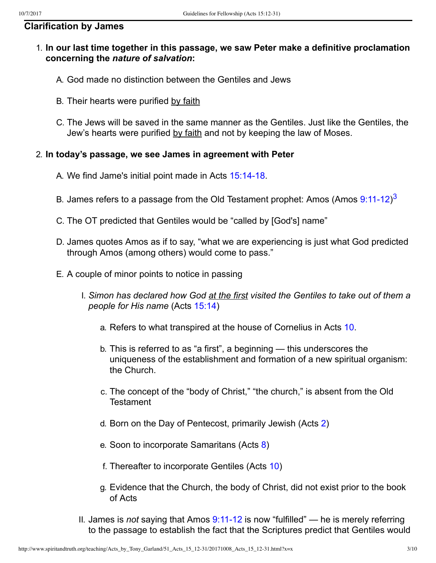#### **Clarification by James**

### 1. **In our last time together in this passage, we saw Peter make a definitive proclamation concerning the** *nature of salvation***:**

- A. God made no distinction between the Gentiles and Jews
- B. Their hearts were purified by faith
- C. The Jews will be saved in the same manner as the Gentiles. Just like the Gentiles, the Jew's hearts were purified by faith and not by keeping the law of Moses.

#### 2. **In today's passage, we see James in agreement with Peter**

- A. We find Jame's initial point made in Acts 15:14-18.
- <span id="page-2-0"></span>B. James refers to a passage from the Old Testament prophet: Amos (Amos 9:11-12)<sup>[3](#page-9-4)</sup>
- C. The OT predicted that Gentiles would be "called by [God's] name"
- D. James quotes Amos as if to say, "what we are experiencing is just what God predicted through Amos (among others) would come to pass."
- E. A couple of minor points to notice in passing
	- I. *Simon has declared how God at the first visited the Gentiles to take out of them a people for His name* (Acts [15:14](http://www.spiritandtruth.org/bibles/nasb/b44c015.htm#Acts_C15V14))
		- a. Refers to what transpired at the house of Cornelius in Acts [10](http://www.spiritandtruth.org/bibles/nasb/b44c010.htm#Acts_C10V1).
		- b. This is referred to as "a first", a beginning this underscores the uniqueness of the establishment and formation of a new spiritual organism: the Church.
		- c. The concept of the "body of Christ," "the church," is absent from the Old **Testament**
		- d. Born on the Day of Pentecost, primarily Jewish (Acts [2](http://www.spiritandtruth.org/bibles/nasb/b44c002.htm#Acts_C2V1))
		- e. Soon to incorporate Samaritans (Acts [8](http://www.spiritandtruth.org/bibles/nasb/b44c008.htm#Acts_C8V1))
		- f. Thereafter to incorporate Gentiles (Acts [10](http://www.spiritandtruth.org/bibles/nasb/b44c010.htm#Acts_C10V1))
		- g. Evidence that the Church, the body of Christ, did not exist prior to the book of Acts
	- II. James is *not* saying that Amos  $9:11-12$  is now "fulfilled" he is merely referring to the passage to establish the fact that the Scriptures predict that Gentiles would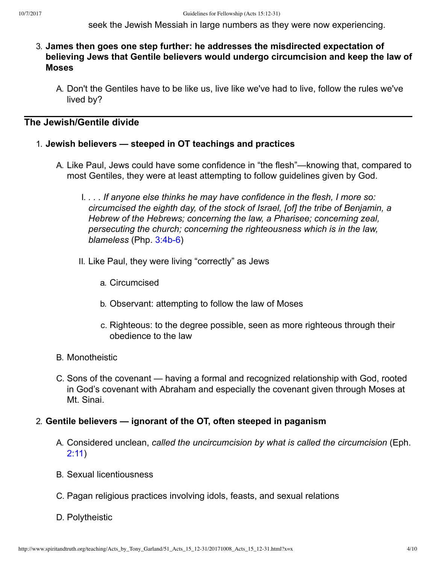seek the Jewish Messiah in large numbers as they were now experiencing.

- 3. **James then goes one step further: he addresses the misdirected expectation of believing Jews that Gentile believers would undergo circumcision and keep the law of Moses**
	- A. Don't the Gentiles have to be like us, live like we've had to live, follow the rules we've lived by?

## **The Jewish/Gentile divide**

#### 1. **Jewish believers — steeped in OT teachings and practices**

- A. Like Paul, Jews could have some confidence in "the flesh"—knowing that, compared to most Gentiles, they were at least attempting to follow guidelines given by God.
	- I. *. . . If anyone else thinks he may have confidence in the flesh, I more so: circumcised the eighth day, of the stock of Israel, [of] the tribe of Benjamin, a Hebrew of the Hebrews; concerning the law, a Pharisee; concerning zeal, persecuting the church; concerning the righteousness which is in the law, blameless* (Php. 3:4b-6)
	- II. Like Paul, they were living "correctly" as Jews
		- a. Circumcised
		- b. Observant: attempting to follow the law of Moses
		- c. Righteous: to the degree possible, seen as more righteous through their obedience to the law
- B. Monotheistic
- C. Sons of the covenant having a formal and recognized relationship with God, rooted in God's covenant with Abraham and especially the covenant given through Moses at Mt. Sinai.

#### 2. **Gentile believers — ignorant of the OT, often steeped in paganism**

- A. Considered unclean, *called the uncircumcision by what is called the circumcision* (Eph. [2:11](http://www.spiritandtruth.org/bibles/nasb/b49c002.htm#Eph._C2V11))
- B. Sexual licentiousness
- C. Pagan religious practices involving idols, feasts, and sexual relations
- D. Polytheistic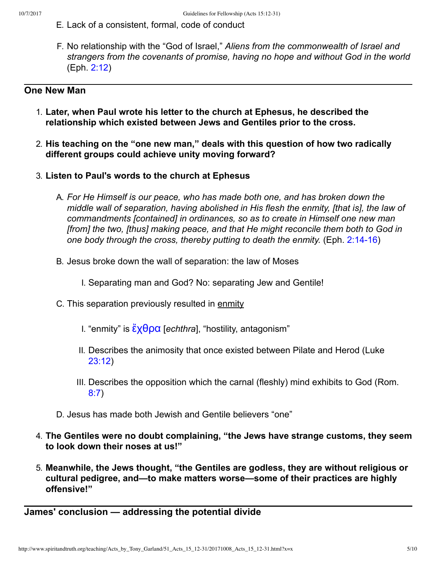- E. Lack of a consistent, formal, code of conduct
- F. No relationship with the "God of Israel," *Aliens from the commonwealth of Israel and strangers from the covenants of promise, having no hope and without God in the world* (Eph. [2:12](http://www.spiritandtruth.org/bibles/nasb/b49c002.htm#Eph._C2V12))

### **One New Man**

- 1. **Later, when Paul wrote his letter to the church at Ephesus, he described the relationship which existed between Jews and Gentiles prior to the cross.**
- 2. **His teaching on the "one new man," deals with this question of how two radically different groups could achieve unity moving forward?**
- 3. **Listen to Paul's words to the church at Ephesus**
	- A. *For He Himself is our peace, who has made both one, and has broken down the middle wall of separation, having abolished in His flesh the enmity, [that is], the law of commandments [contained] in ordinances, so as to create in Himself one new man [from] the two, [thus] making peace, and that He might reconcile them both to God in one body through the cross, thereby putting to death the enmity.* (Eph. 2:14-16)
	- B. Jesus broke down the wall of separation: the law of Moses
		- I. Separating man and God? No: separating Jew and Gentile!
	- C. This separation previously resulted in enmity
		- I. "enmity" is [ἔχθρα](http://www.spiritandtruth.org/fontsu/index.htm) [*echthra*], "hostility, antagonism"
		- II. Describes the animosity that once existed between Pilate and Herod (Luke [23:12\)](http://www.spiritandtruth.org/bibles/nasb/b42c023.htm#Luke_C23V12)
		- III. Describes the opposition which the carnal (fleshly) mind exhibits to God (Rom. [8:7](http://www.spiritandtruth.org/bibles/nasb/b45c008.htm#Rom._C8V7))
	- D. Jesus has made both Jewish and Gentile believers "one"
- 4. **The Gentiles were no doubt complaining, "the Jews have strange customs, they seem to look down their noses at us!"**
- 5. **Meanwhile, the Jews thought, "the Gentiles are godless, they are without religious or cultural pedigree, and—to make matters worse—some of their practices are highly offensive!"**

#### **James' conclusion — addressing the potential divide**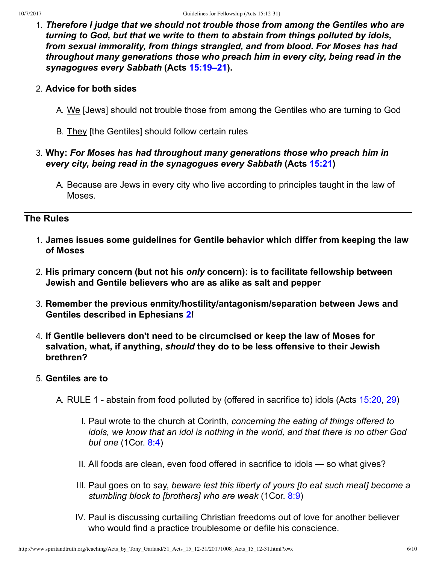1. *Therefore I judge that we should not trouble those from among the Gentiles who are turning to God, but that we write to them to abstain from things polluted by idols, from sexual immorality, from things strangled, and from blood. For Moses has had throughout many generations those who preach him in every city, being read in the synagogues every Sabbath* **(Acts [15:19–21](http://www.spiritandtruth.org/bibles/nasb/b44c015.htm#Acts_C15V19)).**

#### 2. **Advice for both sides**

- A. We [Jews] should not trouble those from among the Gentiles who are turning to God
- B. They [the Gentiles] should follow certain rules

#### 3. **Why:** *For Moses has had throughout many generations those who preach him in every city, being read in the synagogues every Sabbath* **(Acts [15:21](http://www.spiritandtruth.org/bibles/nasb/b44c015.htm#Acts_C15V21))**

A. Because are Jews in every city who live according to principles taught in the law of Moses.

# **The Rules**

- 1. **James issues some guidelines for Gentile behavior which differ from keeping the law of Moses**
- 2. **His primary concern (but not his** *only* **concern): is to facilitate fellowship between Jewish and Gentile believers who are as alike as salt and pepper**
- 3. **Remember the previous enmity/hostility/antagonism/separation between Jews and Gentiles described in Ephesians [2](http://www.spiritandtruth.org/bibles/nasb/b49c002.htm#Eph._C2V1)!**
- 4. **If Gentile believers don't need to be circumcised or keep the law of Moses for salvation, what, if anything,** *should* **they do to be less offensive to their Jewish brethren?**

#### 5. **Gentiles are to**

- A. RULE 1 abstain from food polluted by (offered in sacrifice to) idols (Acts [15:20,](http://www.spiritandtruth.org/bibles/nasb/b44c015.htm#Acts_C15V20) [29\)](http://www.spiritandtruth.org/bibles/nasb/b44c015.htm#Acts_C15V29)
	- I. Paul wrote to the church at Corinth, *concerning the eating of things offered to idols, we know that an idol is nothing in the world, and that there is no other God but one* (1Cor. [8:4\)](http://www.spiritandtruth.org/bibles/nasb/b46c008.htm#1Cor._C8V4)
	- II. All foods are clean, even food offered in sacrifice to idols so what gives?
	- III. Paul goes on to say, *beware lest this liberty of yours [to eat such meat] become a stumbling block to [brothers] who are weak* (1Cor. [8:9\)](http://www.spiritandtruth.org/bibles/nasb/b46c008.htm#1Cor._C8V9)
	- IV. Paul is discussing curtailing Christian freedoms out of love for another believer who would find a practice troublesome or defile his conscience.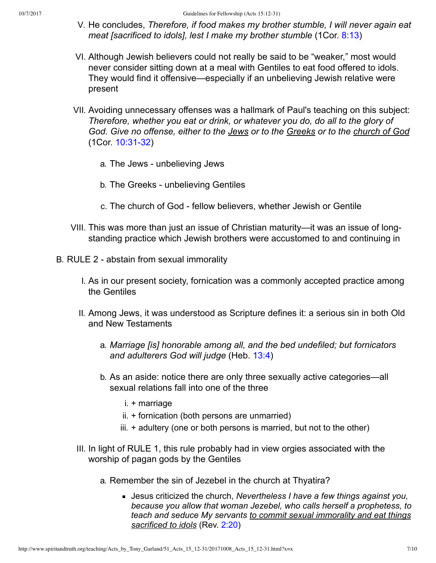- V. He concludes, *Therefore, if food makes my brother stumble, I will never again eat meat [sacrificed to idols], lest I make my brother stumble* (1Cor. [8:13\)](http://www.spiritandtruth.org/bibles/nasb/b46c008.htm#1Cor._C8V13)
- VI. Although Jewish believers could not really be said to be "weaker," most would never consider sitting down at a meal with Gentiles to eat food offered to idols. They would find it offensive—especially if an unbelieving Jewish relative were present
- VII. Avoiding unnecessary offenses was a hallmark of Paul's teaching on this subject: *Therefore, whether you eat or drink, or whatever you do, do all to the glory of God. Give no offense, either to the Jews or to the Greeks or to the church of God* (1Cor. 10:31-32)
	- a. The Jews unbelieving Jews
	- b. The Greeks unbelieving Gentiles
	- c. The church of God fellow believers, whether Jewish or Gentile
- VIII. This was more than just an issue of Christian maturity—it was an issue of longstanding practice which Jewish brothers were accustomed to and continuing in
- B. RULE 2 abstain from sexual immorality
	- I. As in our present society, fornication was a commonly accepted practice among the Gentiles
	- II. Among Jews, it was understood as Scripture defines it: a serious sin in both Old and New Testaments
		- a. *Marriage [is] honorable among all, and the bed undefiled; but fornicators and adulterers God will judge* (Heb. [13:4\)](http://www.spiritandtruth.org/bibles/nasb/b58c013.htm#Heb._C13V4)
		- b. As an aside: notice there are only three sexually active categories—all sexual relations fall into one of the three
			- i. + marriage
			- ii. + fornication (both persons are unmarried)
			- iii. + adultery (one or both persons is married, but not to the other)
	- III. In light of RULE 1, this rule probably had in view orgies associated with the worship of pagan gods by the Gentiles
		- a. Remember the sin of Jezebel in the church at Thyatira?
			- Jesus criticized the church, *Nevertheless I have a few things against you, because you allow that woman Jezebel, who calls herself a prophetess, to teach and seduce My servants to commit sexual immorality and eat things sacrificed to idols* (Rev. [2:20](http://www.spiritandtruth.org/bibles/nasb/b66c002.htm#Rev._C2V20))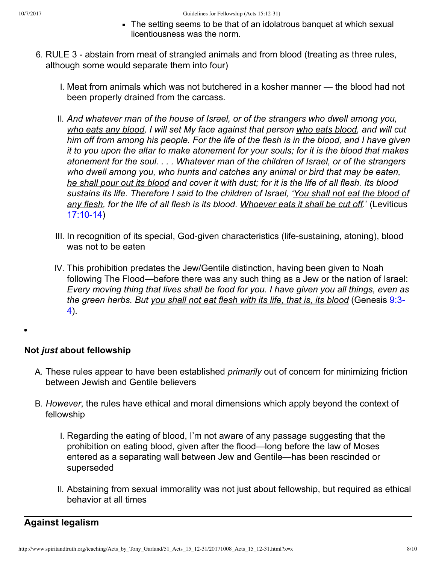- The setting seems to be that of an idolatrous banquet at which sexual licentiousness was the norm.
- 6. RULE 3 abstain from meat of strangled animals and from blood (treating as three rules, although some would separate them into four)
	- I. Meat from animals which was not butchered in a kosher manner the blood had not been properly drained from the carcass.
	- II. *And whatever man of the house of Israel, or of the strangers who dwell among you, who eats any blood, I will set My face against that person who eats blood, and will cut him off from among his people. For the life of the flesh is in the blood, and I have given it to you upon the altar to make atonement for your souls; for it is the blood that makes atonement for the soul. . . . Whatever man of the children of Israel, or of the strangers who dwell among you, who hunts and catches any animal or bird that may be eaten, he shall pour out its blood and cover it with dust; for it is the life of all flesh. Its blood sustains its life. Therefore I said to the children of Israel, 'You shall not eat the blood of any flesh, for the life of all flesh is its blood. Whoever eats it shall be cut off.*' (Leviticus  $17:10-14$ )
	- III. In recognition of its special, God-given characteristics (life-sustaining, atoning), blood was not to be eaten
	- IV. This prohibition predates the Jew/Gentile distinction, having been given to Noah following The Flood—before there was any such thing as a Jew or the nation of Israel: *Every moving thing that lives shall be food for you. I have given you all things, even as [the green herbs. But you shall not eat flesh with its life, that is, its blood](http://www.spiritandtruth.org/bibles/nasb/b01c009.htm#Gen._C9V3)* (Genesis 9:3 4).

### **Not** *just* **about fellowship**

- A. These rules appear to have been established *primarily* out of concern for minimizing friction between Jewish and Gentile believers
- B. *However*, the rules have ethical and moral dimensions which apply beyond the context of fellowship
	- I. Regarding the eating of blood, I'm not aware of any passage suggesting that the prohibition on eating blood, given after the flood—long before the law of Moses entered as a separating wall between Jew and Gentile—has been rescinded or superseded
	- II. Abstaining from sexual immorality was not just about fellowship, but required as ethical behavior at all times

# **Against legalism**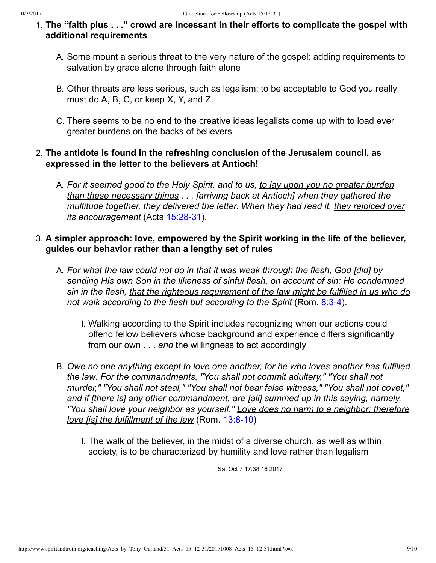- 1. **The "faith plus . . ." crowd are incessant in their efforts to complicate the gospel with additional requirements**
	- A. Some mount a serious threat to the very nature of the gospel: adding requirements to salvation by grace alone through faith alone
	- B. Other threats are less serious, such as legalism: to be acceptable to God you really must do A, B, C, or keep X, Y, and Z.
	- C. There seems to be no end to the creative ideas legalists come up with to load ever greater burdens on the backs of believers

## 2. **The antidote is found in the refreshing conclusion of the Jerusalem council, as expressed in the letter to the believers at Antioch!**

A. *For it seemed good to the Holy Spirit, and to us, to lay upon you no greater burden than these necessary things . . . [arriving back at Antioch] when they gathered the multitude together, they delivered the letter. When they had read it, they rejoiced over its encouragement* (Acts 15:28-31).

## 3. **A simpler approach: love, empowered by the Spirit working in the life of the believer, guides our behavior rather than a lengthy set of rules**

- A. *For what the law could not do in that it was weak through the flesh, God [did] by sending His own Son in the likeness of sinful flesh, on account of sin: He condemned sin in the flesh, that the righteous requirement of the law might be fulfilled in us who do* not walk according to the flesh but according to the Spirit (Rom. 8:3-4).
	- I. Walking according to the Spirit includes recognizing when our actions could offend fellow believers whose background and experience differs significantly from our own . . . *and* the willingness to act accordingly
- B. *Owe no one anything except to love one another, for he who loves another has fulfilled the law. For the commandments, "You shall not commit adultery," "You shall not murder," "You shall not steal," "You shall not bear false witness," "You shall not covet," and if [there is] any other commandment, are [all] summed up in this saying, namely, "You shall love your neighbor as yourself." Love does no harm to a neighbor; therefore love [is] the fulfillment of the law (Rom. 13:8-10)* 
	- I. The walk of the believer, in the midst of a diverse church, as well as within society, is to be characterized by humility and love rather than legalism

Sat Oct 7 17:38:16 2017